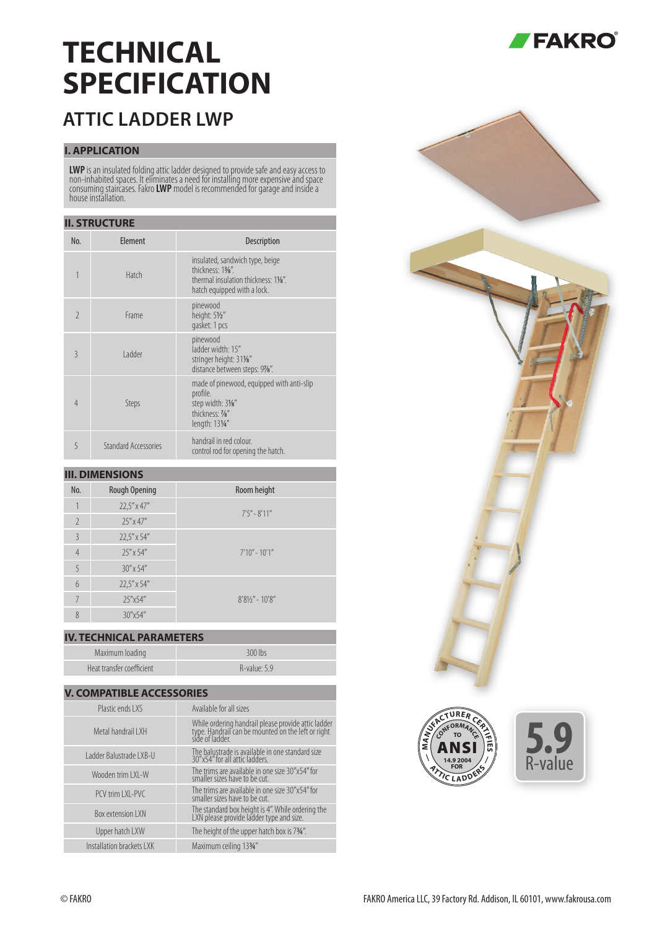## **TECHNICAL SPECIFICATION**

### **ATTIC LADDER LWP**

#### **I. APPLICATION**

**LWP** is an insulated folding attic ladder designed to provide safe and easy access to<br>non-inhabited spaces. It eliminates a need for installing more expensive and space consuming staircases. Fakro **LWP** model is recommended for garage and inside a<br>house installation.

#### **II. STRUCTURE**

| No.            | Element              | <b>Description</b>                                                                                                         |
|----------------|----------------------|----------------------------------------------------------------------------------------------------------------------------|
| 1              | Hatch                | insulated, sandwich type, beige<br>thickness: 13%".<br>thermal insulation thickness: 11/8".<br>hatch equipped with a lock. |
| $\mathfrak{I}$ | Frame                | pinewood<br>height: 51/2"<br>gasket: 1 pcs                                                                                 |
| $\mathcal{R}$  | I adder              | pinewood<br>ladder width: 15"<br>stringer height: 31%"<br>distance between steps: 97%".                                    |
| $\overline{4}$ | Steps                | made of pinewood, equipped with anti-slip<br>profile.<br>step width: 31/8"<br>thickness '/s"<br>length: 131/4"             |
| 5              | Standard Accessories | handrail in red colour.<br>control rod for opening the hatch.                                                              |

#### **III. DIMENSIONS**

| No.            | <b>Rough Opening</b> | Room height                |  |  |  |
|----------------|----------------------|----------------------------|--|--|--|
|                | $22,5''$ x 47"       | $7'5'' - 8'11''$           |  |  |  |
| $\overline{2}$ | $25''$ x 47"         |                            |  |  |  |
| 3              | $22,5''$ x 54"       |                            |  |  |  |
| $\overline{4}$ | 25" x 54"            | $7'10'' - 10'1''$          |  |  |  |
| 5              | $30''$ x $54''$      |                            |  |  |  |
| 6              | $22,5''$ x 54"       |                            |  |  |  |
| 7              | 25"x54"              | $8'8\frac{1}{2}$ " - 10'8" |  |  |  |
| 8              | 30"x54"              |                            |  |  |  |

#### **IV. TECHNICAL PARAMETERS**

| Maximum loading           | $300$ lbs    |
|---------------------------|--------------|
| Heat transfer coefficient | R-value: 5.9 |

#### **V. COMPATIBLE ACCESSORIES**

| Plastic ends LXS          | Available for all sizes                                                                                                      |  |  |  |  |
|---------------------------|------------------------------------------------------------------------------------------------------------------------------|--|--|--|--|
| Metal handrail I XH       | While ordering handrail please provide attic ladder<br>type. Handrail can be mounted on the left or right<br>side of ladder. |  |  |  |  |
| Ladder Balustrade LXB-U   | The balustrade is available in one standard size<br>30"x54" for all attic ladders.                                           |  |  |  |  |
| Wooden trim LXL-W         | The trims are available in one size 30"x54" for<br>smaller sizes have to be cut.                                             |  |  |  |  |
| PCV trim I XI-PVC         | The trims are available in one size 30"x54" for<br>smaller sizes have to be cut.                                             |  |  |  |  |
| <b>Box extension I XN</b> | The standard box height is 4". While ordering the<br>LXN please provide ladder type and size.                                |  |  |  |  |
| Upper hatch LXW           | The height of the upper hatch box is 734".                                                                                   |  |  |  |  |
| Installation brackets LXK | Maximum ceiling 133/4"                                                                                                       |  |  |  |  |